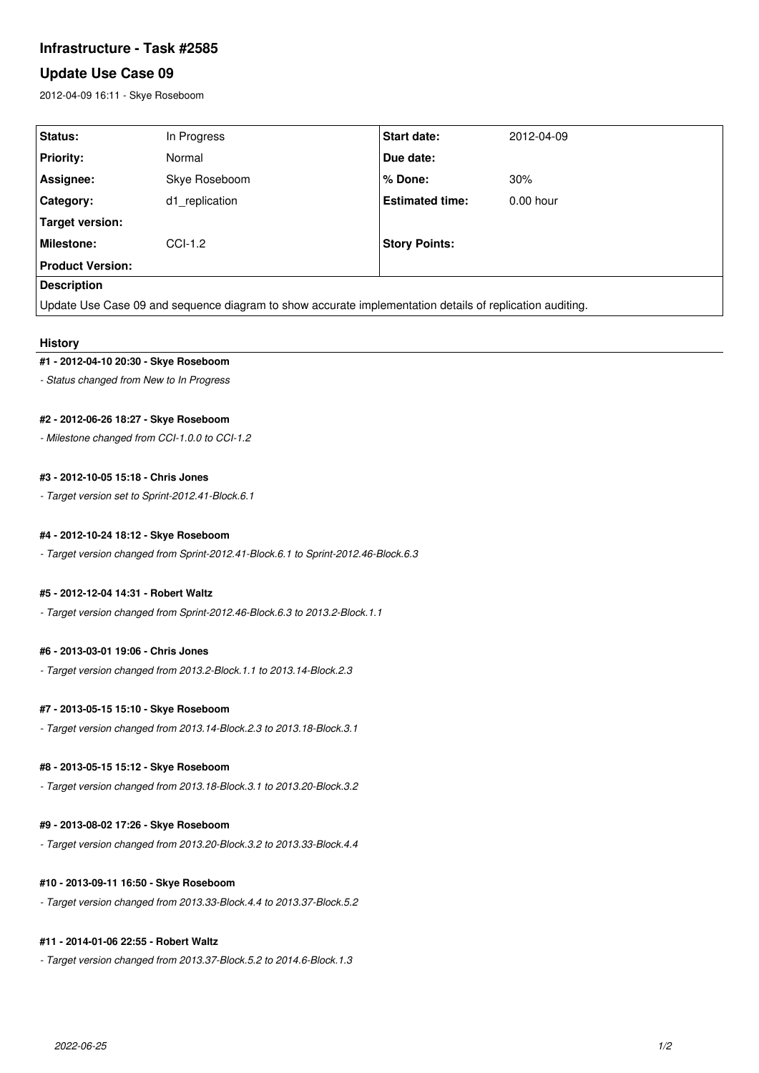# **Infrastructure - Task #2585**

# **Update Use Case 09**

2012-04-09 16:11 - Skye Roseboom

| <b>Status:</b>                                                                                           | In Progress    | Start date:            | 2012-04-09  |
|----------------------------------------------------------------------------------------------------------|----------------|------------------------|-------------|
| <b>Priority:</b>                                                                                         | Normal         | Due date:              |             |
| Assignee:                                                                                                | Skye Roseboom  | % Done:                | 30%         |
| Category:                                                                                                | d1 replication | <b>Estimated time:</b> | $0.00$ hour |
| <b>Target version:</b>                                                                                   |                |                        |             |
| Milestone:                                                                                               | $CCI-1.2$      | <b>Story Points:</b>   |             |
| <b>Product Version:</b>                                                                                  |                |                        |             |
| <b>Description</b>                                                                                       |                |                        |             |
| Update Use Case 09 and sequence diagram to show accurate implementation details of replication auditing. |                |                        |             |

### **History**

### **#1 - 2012-04-10 20:30 - Skye Roseboom**

*- Status changed from New to In Progress*

### **#2 - 2012-06-26 18:27 - Skye Roseboom**

*- Milestone changed from CCI-1.0.0 to CCI-1.2*

### **#3 - 2012-10-05 15:18 - Chris Jones**

*- Target version set to Sprint-2012.41-Block.6.1*

### **#4 - 2012-10-24 18:12 - Skye Roseboom**

*- Target version changed from Sprint-2012.41-Block.6.1 to Sprint-2012.46-Block.6.3*

#### **#5 - 2012-12-04 14:31 - Robert Waltz**

*- Target version changed from Sprint-2012.46-Block.6.3 to 2013.2-Block.1.1*

#### **#6 - 2013-03-01 19:06 - Chris Jones**

*- Target version changed from 2013.2-Block.1.1 to 2013.14-Block.2.3*

### **#7 - 2013-05-15 15:10 - Skye Roseboom**

*- Target version changed from 2013.14-Block.2.3 to 2013.18-Block.3.1*

### **#8 - 2013-05-15 15:12 - Skye Roseboom**

*- Target version changed from 2013.18-Block.3.1 to 2013.20-Block.3.2*

#### **#9 - 2013-08-02 17:26 - Skye Roseboom**

*- Target version changed from 2013.20-Block.3.2 to 2013.33-Block.4.4*

### **#10 - 2013-09-11 16:50 - Skye Roseboom**

*- Target version changed from 2013.33-Block.4.4 to 2013.37-Block.5.2*

### **#11 - 2014-01-06 22:55 - Robert Waltz**

*- Target version changed from 2013.37-Block.5.2 to 2014.6-Block.1.3*